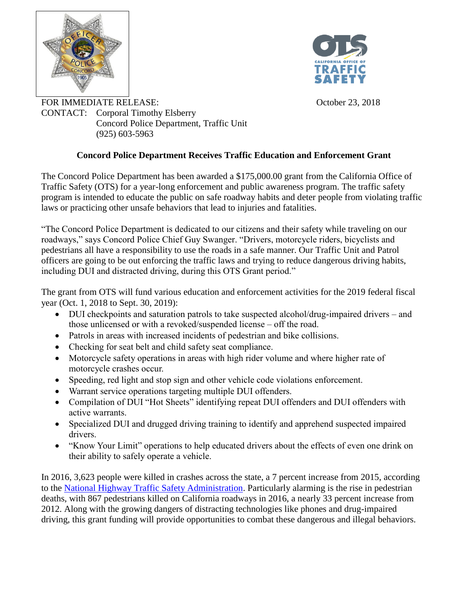



FOR IMMEDIATE RELEASE:<br>CONTACT: Cornoral Timothy Elsberry CONTACT: Corporal Timothy Elsberry Concord Police Department, Traffic Unit (925) 603-5963

## **Concord Police Department Receives Traffic Education and Enforcement Grant**

The Concord Police Department has been awarded a \$175,000.00 grant from the California Office of Traffic Safety (OTS) for a year-long enforcement and public awareness program. The traffic safety program is intended to educate the public on safe roadway habits and deter people from violating traffic laws or practicing other unsafe behaviors that lead to injuries and fatalities.

"The Concord Police Department is dedicated to our citizens and their safety while traveling on our roadways," says Concord Police Chief Guy Swanger. "Drivers, motorcycle riders, bicyclists and pedestrians all have a responsibility to use the roads in a safe manner. Our Traffic Unit and Patrol officers are going to be out enforcing the traffic laws and trying to reduce dangerous driving habits, including DUI and distracted driving, during this OTS Grant period."

The grant from OTS will fund various education and enforcement activities for the 2019 federal fiscal year (Oct. 1, 2018 to Sept. 30, 2019):

- DUI checkpoints and saturation patrols to take suspected alcohol/drug-impaired drivers and those unlicensed or with a revoked/suspended license – off the road.
- Patrols in areas with increased incidents of pedestrian and bike collisions.
- Checking for seat belt and child safety seat compliance.
- Motorcycle safety operations in areas with high rider volume and where higher rate of motorcycle crashes occur.
- Speeding, red light and stop sign and other vehicle code violations enforcement.
- Warrant service operations targeting multiple DUI offenders.
- Compilation of DUI "Hot Sheets" identifying repeat DUI offenders and DUI offenders with active warrants.
- Specialized DUI and drugged driving training to identify and apprehend suspected impaired drivers.
- "Know Your Limit" operations to help educated drivers about the effects of even one drink on their ability to safely operate a vehicle.

In 2016, 3,623 people were killed in crashes across the state, a 7 percent increase from 2015, according to the [National Highway Traffic Safety Administration.](https://www.nhtsa.gov/press-releases/usdot-releases-2016-fatal-traffic-crash-data) Particularly alarming is the rise in pedestrian deaths, with 867 pedestrians killed on California roadways in 2016, a nearly 33 percent increase from 2012. Along with the growing dangers of distracting technologies like phones and drug-impaired driving, this grant funding will provide opportunities to combat these dangerous and illegal behaviors.